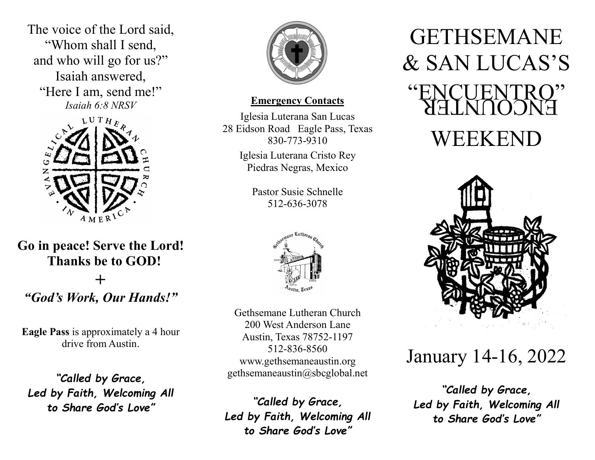The voice of the Lord said, "Whom shall I send, and who will go for us?" Isaiah answered, "Here I am, send me!" Isaiah 6:8 NRSV



Go in peace! Serve the Lord! Thanks be to GOD!  $\div$ "God's Work, Our Hands!"

Eagle Pass is approximately a 4 hour drive from Austin.

"Called by Grace, Led by Faith, Welcoming All to Share God's Love"



### Emergency Contacts

Iglesia Luterana San Lucas 28 Eidson Road Eagle Pass, Texas 830-773-9310

> Iglesia Luterana Cristo Rey Piedras Negras, Mexico

> > Pastor Susie Schnelle 512-636-3078



Gethsemane Lutheran Church 200 West Anderson Lane Austin, Texas 78752-1197 512-836-8560 www.gethsemaneaustin.org gethsemaneaustin@sbcglobal.net

"Called by Grace, Led by Faith, Welcoming All to Share God's Love"

# ENCOUNTER GETHSEMANE & SAN LUCAS'S "ENCUENTRO" WEEKEND



## January 14-16, 2022

"Called by Grace, Led by Faith, Welcoming All to Share God's Love"